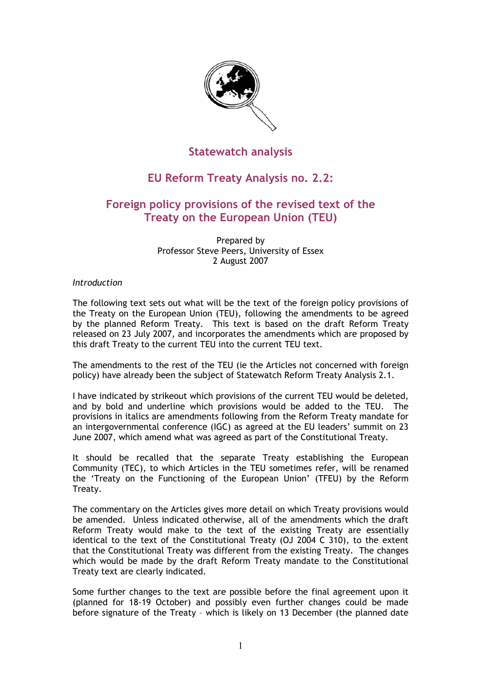

# **Statewatch analysis**

# **EU Reform Treaty Analysis no. 2.2:**

# **Foreign policy provisions of the revised text of the Treaty on the European Union (TEU)**

Prepared by Professor Steve Peers, University of Essex 2 August 2007

### *Introduction*

The following text sets out what will be the text of the foreign policy provisions of the Treaty on the European Union (TEU), following the amendments to be agreed by the planned Reform Treaty. This text is based on the draft Reform Treaty released on 23 July 2007, and incorporates the amendments which are proposed by this draft Treaty to the current TEU into the current TEU text.

The amendments to the rest of the TEU (ie the Articles not concerned with foreign policy) have already been the subject of Statewatch Reform Treaty Analysis 2.1.

I have indicated by strikeout which provisions of the current TEU would be deleted, and by bold and underline which provisions would be added to the TEU. The provisions in italics are amendments following from the Reform Treaty mandate for an intergovernmental conference (IGC) as agreed at the EU leaders' summit on 23 June 2007, which amend what was agreed as part of the Constitutional Treaty.

It should be recalled that the separate Treaty establishing the European Community (TEC), to which Articles in the TEU sometimes refer, will be renamed the 'Treaty on the Functioning of the European Union' (TFEU) by the Reform Treaty.

The commentary on the Articles gives more detail on which Treaty provisions would be amended. Unless indicated otherwise, all of the amendments which the draft Reform Treaty would make to the text of the existing Treaty are essentially identical to the text of the Constitutional Treaty (OJ 2004 C 310), to the extent that the Constitutional Treaty was different from the existing Treaty. The changes which would be made by the draft Reform Treaty mandate to the Constitutional Treaty text are clearly indicated.

Some further changes to the text are possible before the final agreement upon it (planned for 18-19 October) and possibly even further changes could be made before signature of the Treaty – which is likely on 13 December (the planned date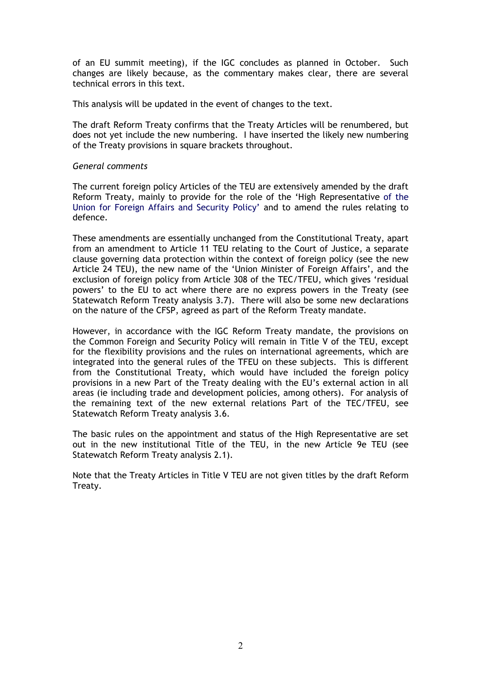of an EU summit meeting), if the IGC concludes as planned in October. Such changes are likely because, as the commentary makes clear, there are several technical errors in this text.

This analysis will be updated in the event of changes to the text.

The draft Reform Treaty confirms that the Treaty Articles will be renumbered, but does not yet include the new numbering. I have inserted the likely new numbering of the Treaty provisions in square brackets throughout.

#### *General comments*

The current foreign policy Articles of the TEU are extensively amended by the draft Reform Treaty, mainly to provide for the role of the 'High Representative of the Union for Foreign Affairs and Security Policy' and to amend the rules relating to defence.

These amendments are essentially unchanged from the Constitutional Treaty, apart from an amendment to Article 11 TEU relating to the Court of Justice, a separate clause governing data protection within the context of foreign policy (see the new Article 24 TEU), the new name of the 'Union Minister of Foreign Affairs', and the exclusion of foreign policy from Article 308 of the TEC/TFEU, which gives 'residual powers' to the EU to act where there are no express powers in the Treaty (see Statewatch Reform Treaty analysis 3.7). There will also be some new declarations on the nature of the CFSP, agreed as part of the Reform Treaty mandate.

However, in accordance with the IGC Reform Treaty mandate, the provisions on the Common Foreign and Security Policy will remain in Title V of the TEU, except for the flexibility provisions and the rules on international agreements, which are integrated into the general rules of the TFEU on these subjects. This is different from the Constitutional Treaty, which would have included the foreign policy provisions in a new Part of the Treaty dealing with the EU's external action in all areas (ie including trade and development policies, among others). For analysis of the remaining text of the new external relations Part of the TEC/TFEU, see Statewatch Reform Treaty analysis 3.6.

The basic rules on the appointment and status of the High Representative are set out in the new institutional Title of the TEU, in the new Article 9e TEU (see Statewatch Reform Treaty analysis 2.1).

Note that the Treaty Articles in Title V TEU are not given titles by the draft Reform Treaty.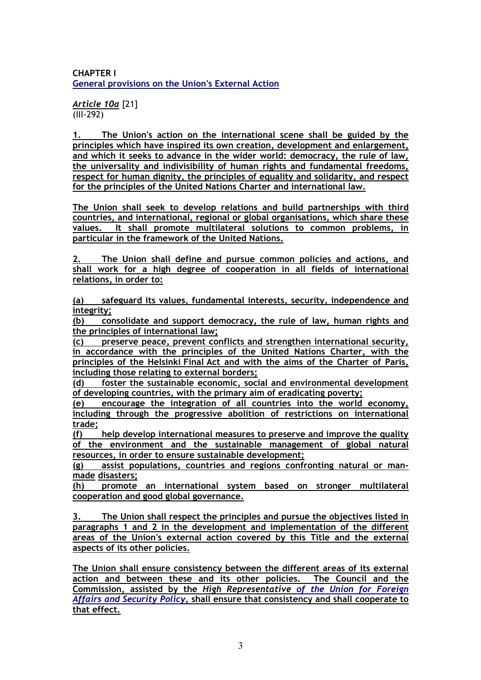**CHAPTER I General provisions on the Union's External Action**

*Article 10a* [21]  $\overline{(\text{III-292})}$ 

**1. The Union's action on the international scene shall be guided by the principles which have inspired its own creation, development and enlargement, and which it seeks to advance in the wider world: democracy, the rule of law, the universality and indivisibility of human rights and fundamental freedoms, respect for human dignity, the principles of equality and solidarity, and respect for the principles of the United Nations Charter and international law.** 

**The Union shall seek to develop relations and build partnerships with third countries, and international, regional or global organisations, which share these values. It shall promote multilateral solutions to common problems, in particular in the framework of the United Nations.** 

**2. The Union shall define and pursue common policies and actions, and shall work for a high degree of cooperation in all fields of international relations, in order to:**

**(a) safeguard its values, fundamental interests, security, independence and integrity;**

**(b) consolidate and support democracy, the rule of law, human rights and the principles of international law;**

**(c) preserve peace, prevent conflicts and strengthen international security, in accordance with the principles of the United Nations Charter, with the principles of the Helsinki Final Act and with the aims of the Charter of Paris, including those relating to external borders;** 

**(d) foster the sustainable economic, social and environmental development of developing countries, with the primary aim of eradicating poverty;**

**(e) encourage the integration of all countries into the world economy, including through the progressive abolition of restrictions on international trade;**

**(f) help develop international measures to preserve and improve the quality of the environment and the sustainable management of global natural resources, in order to ensure sustainable development;** 

**(g) assist populations, countries and regions confronting natural or manmade disasters;**

**(h) promote an international system based on stronger multilateral cooperation and good global governance.**

**3. The Union shall respect the principles and pursue the objectives listed in paragraphs 1 and 2 in the development and implementation of the different areas of the Union's external action covered by this Title and the external aspects of its other policies.**

**The Union shall ensure consistency between the different areas of its external action and between these and its other policies. The Council and the Commission, assisted by the** *High Representative of the Union for Foreign Affairs and Security Policy***, shall ensure that consistency and shall cooperate to that effect.**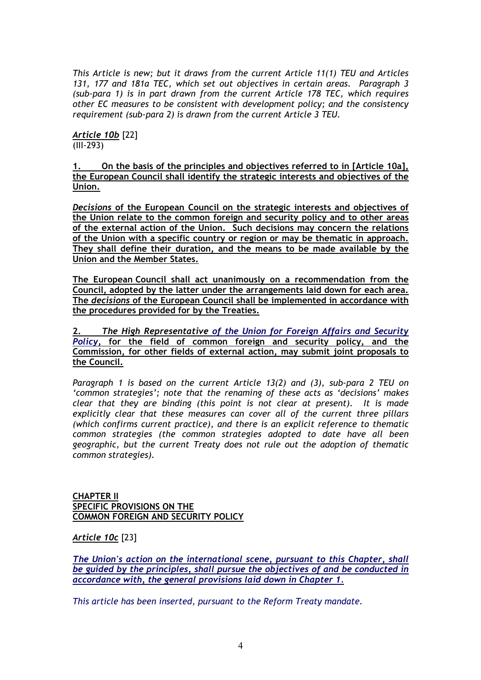*This Article is new; but it draws from the current Article 11(1) TEU and Articles 131, 177 and 181a TEC, which set out objectives in certain areas. Paragraph 3 (sub-para 1) is in part drawn from the current Article 178 TEC, which requires other EC measures to be consistent with development policy; and the consistency requirement (sub-para 2) is drawn from the current Article 3 TEU.*

*Article 10b* [22] (III-293)

**1. On the basis of the principles and objectives referred to in [Article 10a], the European Council shall identify the strategic interests and objectives of the Union.**

*Decisions* **of the European Council on the strategic interests and objectives of the Union relate to the common foreign and security policy and to other areas of the external action of the Union. Such decisions may concern the relations of the Union with a specific country or region or may be thematic in approach. They shall define their duration, and the means to be made available by the Union and the Member States.** 

**The European Council shall act unanimously on a recommendation from the Council, adopted by the latter under the arrangements laid down for each area. The** *decisions* **of the European Council shall be implemented in accordance with the procedures provided for by the Treaties.**

**2.** *The High Representative of the Union for Foreign Affairs and Security Policy***, for the field of common foreign and security policy, and the Commission, for other fields of external action, may submit joint proposals to the Council.** 

*Paragraph 1 is based on the current Article 13(2) and (3), sub-para 2 TEU on 'common strategies'; note that the renaming of these acts as 'decisions' makes clear that they are binding (this point is not clear at present). It is made explicitly clear that these measures can cover all of the current three pillars (which confirms current practice), and there is an explicit reference to thematic common strategies (the common strategies adopted to date have all been geographic, but the current Treaty does not rule out the adoption of thematic common strategies).* 

#### **CHAPTER II SPECIFIC PROVISIONS ON THE COMMON FOREIGN AND SECURITY POLICY**

*Article 10c* [23]

*The Union's action on the international scene, pursuant to this Chapter, shall be guided by the principles, shall pursue the objectives of and be conducted in accordance with, the general provisions laid down in Chapter 1.* 

*This article has been inserted, pursuant to the Reform Treaty mandate.*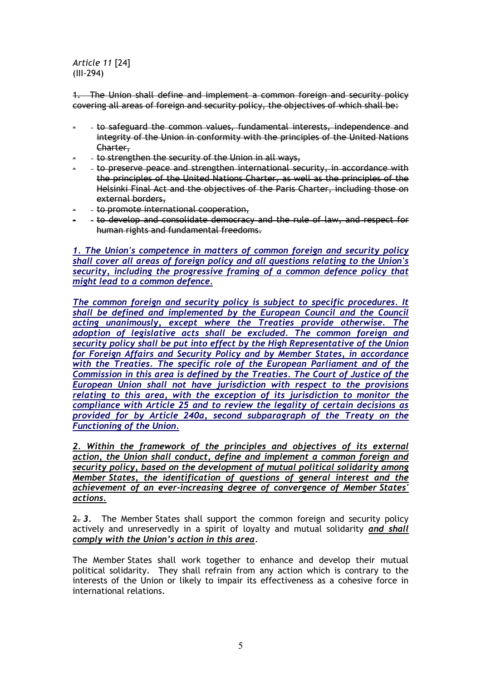*Article 11* [24] (III-294)

1. The Union shall define and implement a common foreign and security policy covering all areas of foreign and security policy, the objectives of which shall be:

- to safeguard the common values, fundamental interests, independence and integrity of the Union in conformity with the principles of the United Nations Charter,
- to strengthen the security of the Union in all ways,
- to preserve peace and strengthen international security, in accordance with the principles of the United Nations Charter, as well as the principles of the Helsinki Final Act and the objectives of the Paris Charter, including those on external borders,
- to promote international cooperation,
- to develop and consolidate democracy and the rule of law, and respect for human rights and fundamental freedoms.

*1. The Union's competence in matters of common foreign and security policy shall cover all areas of foreign policy and all questions relating to the Union's security, including the progressive framing of a common defence policy that might lead to a common defence.*

*The common foreign and security policy is subject to specific procedures. It shall be defined and implemented by the European Council and the Council acting unanimously, except where the Treaties provide otherwise. The adoption of legislative acts shall be excluded. The common foreign and security policy shall be put into effect by the High Representative of the Union for Foreign Affairs and Security Policy and by Member States, in accordance with the Treaties. The specific role of the European Parliament and of the Commission in this area is defined by the Treaties. The Court of Justice of the European Union shall not have jurisdiction with respect to the provisions relating to this area, with the exception of its jurisdiction to monitor the compliance with Article 25 and to review the legality of certain decisions as provided for by Article 240a, second subparagraph of the Treaty on the Functioning of the Union.*

*2. Within the framework of the principles and objectives of its external action, the Union shall conduct, define and implement a common foreign and security policy, based on the development of mutual political solidarity among Member States, the identification of questions of general interest and the achievement of an ever-increasing degree of convergence of Member States' actions.*

2. *3.* The Member States shall support the common foreign and security policy actively and unreservedly in a spirit of loyalty and mutual solidarity *and shall comply with the Union's action in this area*.

The Member States shall work together to enhance and develop their mutual political solidarity. They shall refrain from any action which is contrary to the interests of the Union or likely to impair its effectiveness as a cohesive force in international relations.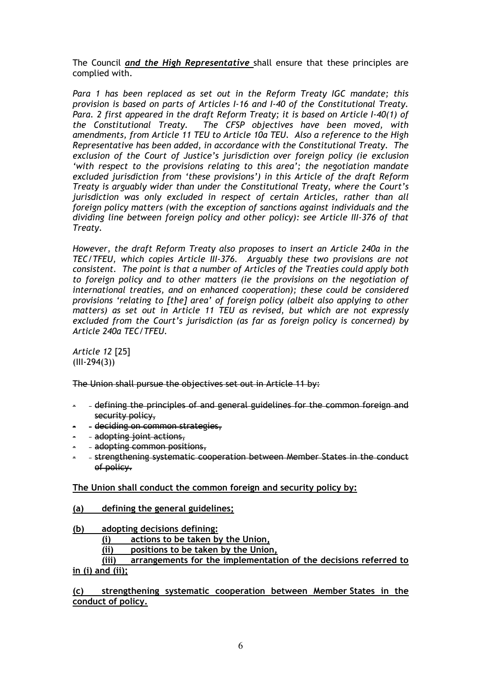The Council *and the High Representative* shall ensure that these principles are complied with.

*Para 1 has been replaced as set out in the Reform Treaty IGC mandate; this provision is based on parts of Articles I-16 and I-40 of the Constitutional Treaty. Para. 2 first appeared in the draft Reform Treaty; it is based on Article I-40(1) of the Constitutional Treaty. The CFSP objectives have been moved, with amendments, from Article 11 TEU to Article 10a TEU. Also a reference to the High Representative has been added, in accordance with the Constitutional Treaty. The exclusion of the Court of Justice's jurisdiction over foreign policy (ie exclusion 'with respect to the provisions relating to this area'; the negotiation mandate excluded jurisdiction from 'these provisions') in this Article of the draft Reform Treaty is arguably wider than under the Constitutional Treaty, where the Court's jurisdiction was only excluded in respect of certain Articles, rather than all foreign policy matters (with the exception of sanctions against individuals and the dividing line between foreign policy and other policy): see Article III-376 of that Treaty.* 

*However, the draft Reform Treaty also proposes to insert an Article 240a in the TEC/TFEU, which copies Article III-376. Arguably these two provisions are not consistent. The point is that a number of Articles of the Treaties could apply both to foreign policy and to other matters (ie the provisions on the negotiation of international treaties, and on enhanced cooperation); these could be considered provisions 'relating to [the] area' of foreign policy (albeit also applying to other matters) as set out in Article 11 TEU as revised, but which are not expressly excluded from the Court's jurisdiction (as far as foreign policy is concerned) by Article 240a TEC/TFEU.*

*Article 12* [25]  $(III-294(3))$ 

The Union shall pursue the objectives set out in Article 11 by:

- defining the principles of and general guidelines for the common foreign and security policy,
- deciding on common strategies,
- adopting joint actions,
- adopting common positions.
- strengthening systematic cooperation between Member States in the conduct of policy.

**The Union shall conduct the common foreign and security policy by:**

- **(a) defining the general guidelines;**
- **(b) adopting decisions defining:**

**(i) actions to be taken by the Union,** 

**(ii) positions to be taken by the Union,**

**(iii) arrangements for the implementation of the decisions referred to in (i) and (ii);**

**(c) strengthening systematic cooperation between Member States in the conduct of policy.**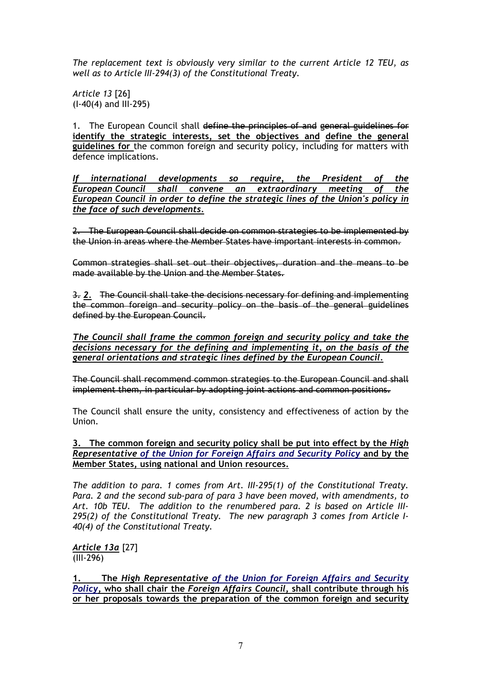*The replacement text is obviously very similar to the current Article 12 TEU, as well as to Article III-294(3) of the Constitutional Treaty.* 

*Article 13* [26] (I-40(4) and III-295)

1. The European Council shall define the principles of and general guidelines for **identify the strategic interests, set the objectives and define the general guidelines for** the common foreign and security policy, including for matters with defence implications.

*If international developments so require, the President of the European Council shall convene an extraordinary meeting of the European Council in order to define the strategic lines of the Union's policy in the face of such developments.*

2. The European Council shall decide on common strategies to be implemented by the Union in areas where the Member States have important interests in common.

Common strategies shall set out their objectives, duration and the means to be made available by the Union and the Member States.

3. *2.* The Council shall take the decisions necessary for defining and implementing the common foreign and security policy on the basis of the general guidelines defined by the European Council.

*The Council shall frame the common foreign and security policy and take the decisions necessary for the defining and implementing it, on the basis of the general orientations and strategic lines defined by the European Council.*

The Council shall recommend common strategies to the European Council and shall implement them, in particular by adopting joint actions and common positions.

The Council shall ensure the unity, consistency and effectiveness of action by the **Union** 

**3. The common foreign and security policy shall be put into effect by the** *High Representative of the Union for Foreign Affairs and Security Policy* **and by the Member States, using national and Union resources.**

*The addition to para. 1 comes from Art. III-295(1) of the Constitutional Treaty. Para. 2 and the second sub-para of para 3 have been moved, with amendments, to Art. 10b TEU. The addition to the renumbered para. 2 is based on Article III-295(2) of the Constitutional Treaty. The new paragraph 3 comes from Article I-40(4) of the Constitutional Treaty.*

*Article 13a* [27] (III-296)

**1. The** *High Representative of the Union for Foreign Affairs and Security Policy***, who shall chair the** *Foreign Affairs Council***, shall contribute through his or her proposals towards the preparation of the common foreign and security**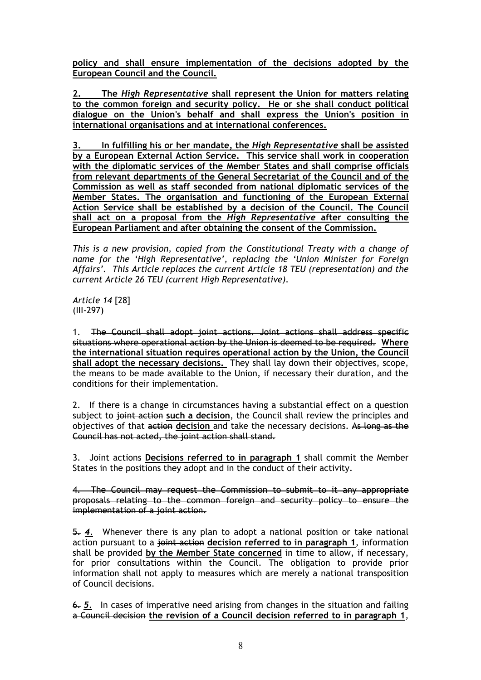**policy and shall ensure implementation of the decisions adopted by the European Council and the Council.**

**2. The** *High Representative* **shall represent the Union for matters relating to the common foreign and security policy. He or she shall conduct political dialogue on the Union's behalf and shall express the Union's position in international organisations and at international conferences.**

**3. In fulfilling his or her mandate, the** *High Representative* **shall be assisted by a European External Action Service. This service shall work in cooperation with the diplomatic services of the Member States and shall comprise officials from relevant departments of the General Secretariat of the Council and of the Commission as well as staff seconded from national diplomatic services of the Member States. The organisation and functioning of the European External Action Service shall be established by a decision of the Council. The Council shall act on a proposal from the** *High Representative* **after consulting the European Parliament and after obtaining the consent of the Commission.**

*This is a new provision, copied from the Constitutional Treaty with a change of name for the 'High Representative', replacing the 'Union Minister for Foreign Affairs'. This Article replaces the current Article 18 TEU (representation) and the current Article 26 TEU (current High Representative).* 

*Article 14* [28] (III-297)

1. The Council shall adopt joint actions. Joint actions shall address specific situations where operational action by the Union is deemed to be required. **Where the international situation requires operational action by the Union, the Council shall adopt the necessary decisions.** They shall lay down their objectives, scope, the means to be made available to the Union, if necessary their duration, and the conditions for their implementation.

2. If there is a change in circumstances having a substantial effect on a question subject to joint action such a decision, the Council shall review the principles and objectives of that action **decision** and take the necessary decisions. As long as the Council has not acted, the joint action shall stand.

3. Joint actions **Decisions referred to in paragraph 1** shall commit the Member States in the positions they adopt and in the conduct of their activity.

4. The Council may request the Commission to submit to it any appropriate proposals relating to the common foreign and security policy to ensure the implementation of a joint action.

5. *4.* Whenever there is any plan to adopt a national position or take national action pursuant to a joint action **decision referred to in paragraph 1**, information shall be provided **by the Member State concerned** in time to allow, if necessary, for prior consultations within the Council. The obligation to provide prior information shall not apply to measures which are merely a national transposition of Council decisions.

6. *5.* In cases of imperative need arising from changes in the situation and failing a Council decision **the revision of a Council decision referred to in paragraph 1**,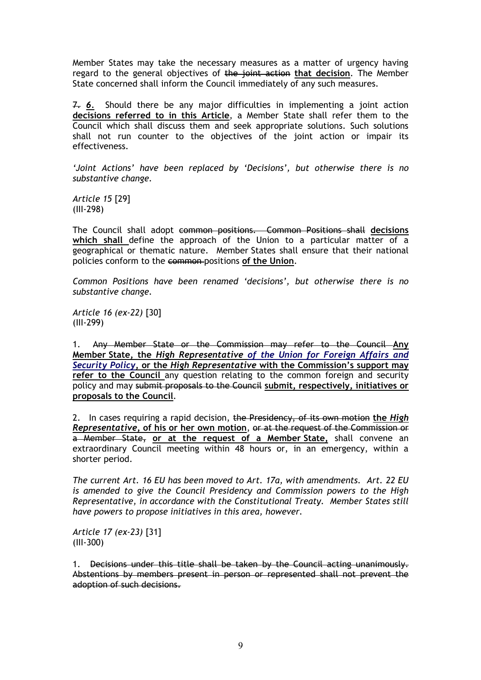Member States may take the necessary measures as a matter of urgency having regard to the general objectives of the joint action **that decision**. The Member State concerned shall inform the Council immediately of any such measures.

7. *6.* Should there be any major difficulties in implementing a joint action **decisions referred to in this Article**, a Member State shall refer them to the Council which shall discuss them and seek appropriate solutions. Such solutions shall not run counter to the objectives of the joint action or impair its effectiveness.

*'Joint Actions' have been replaced by 'Decisions', but otherwise there is no substantive change.* 

*Article 15* [29] (III-298)

The Council shall adopt common positions. Common Positions shall **decisions which shall** define the approach of the Union to a particular matter of a geographical or thematic nature. Member States shall ensure that their national policies conform to the common positions **of the Union**.

*Common Positions have been renamed 'decisions', but otherwise there is no substantive change.* 

*Article 16 (ex-22)* [30] (III-299)

1. Any Member State or the Commission may refer to the Council **Any Member State, the** *High Representative of the Union for Foreign Affairs and Security Policy***, or the** *High Representative* **with the Commission's support may refer to the Council** any question relating to the common foreign and security policy and may submit proposals to the Council **submit, respectively, initiatives or proposals to the Council**.

2. In cases requiring a rapid decision, the Presidency, of its own motion **the** *High Representative***, of his or her own motion**, or at the request of the Commission or a Member State, **or at the request of a Member State,** shall convene an extraordinary Council meeting within 48 hours or, in an emergency, within a shorter period.

*The current Art. 16 EU has been moved to Art. 17a, with amendments. Art. 22 EU is amended to give the Council Presidency and Commission powers to the High Representative, in accordance with the Constitutional Treaty. Member States still have powers to propose initiatives in this area, however.* 

*Article 17 (ex-23)* [31] (III-300)

1. Decisions under this title shall be taken by the Council acting unanimously. Abstentions by members present in person or represented shall not prevent the adoption of such decisions.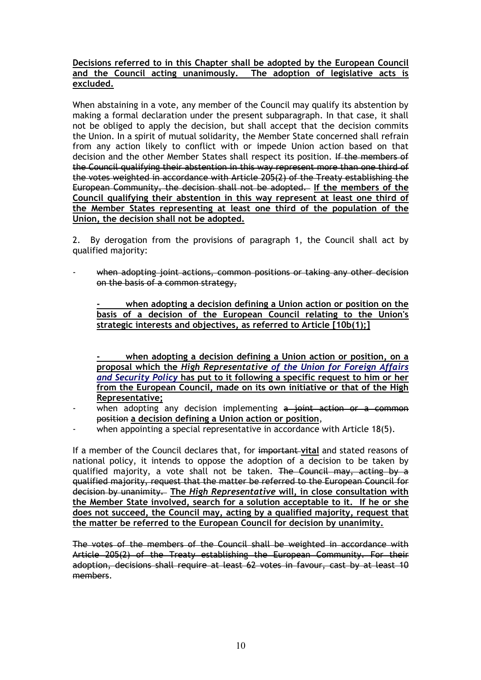**Decisions referred to in this Chapter shall be adopted by the European Council and the Council acting unanimously. The adoption of legislative acts is excluded.**

When abstaining in a vote, any member of the Council may qualify its abstention by making a formal declaration under the present subparagraph. In that case, it shall not be obliged to apply the decision, but shall accept that the decision commits the Union. In a spirit of mutual solidarity, the Member State concerned shall refrain from any action likely to conflict with or impede Union action based on that decision and the other Member States shall respect its position. If the members of the Council qualifying their abstention in this way represent more than one third of the votes weighted in accordance with Article 205(2) of the Treaty establishing the European Community, the decision shall not be adopted. **If the members of the Council qualifying their abstention in this way represent at least one third of the Member States representing at least one third of the population of the Union, the decision shall not be adopted.**

2. By derogation from the provisions of paragraph 1, the Council shall act by qualified majority:

when adopting joint actions, common positions or taking any other decision on the basis of a common strategy,

**- when adopting a decision defining a Union action or position on the basis of a decision of the European Council relating to the Union's strategic interests and objectives, as referred to Article [10b(1);]**

**- when adopting a decision defining a Union action or position, on a proposal which the** *High Representative of the Union for Foreign Affairs and Security Policy* **has put to it following a specific request to him or her from the European Council, made on its own initiative or that of the High Representative;**

- when adopting any decision implementing a joint action or a common position **a decision defining a Union action or position**,
- when appointing a special representative in accordance with Article 18(5).

If a member of the Council declares that, for important **vital** and stated reasons of national policy, it intends to oppose the adoption of a decision to be taken by qualified majority, a vote shall not be taken. The Council may, acting by a qualified majority, request that the matter be referred to the European Council for decision by unanimity. **The** *High Representative* **will, in close consultation with the Member State involved, search for a solution acceptable to it. If he or she does not succeed, the Council may, acting by a qualified majority, request that the matter be referred to the European Council for decision by unanimity.**

The votes of the members of the Council shall be weighted in accordance with Article 205(2) of the Treaty establishing the European Community. For their adoption, decisions shall require at least 62 votes in favour, cast by at least 10 members.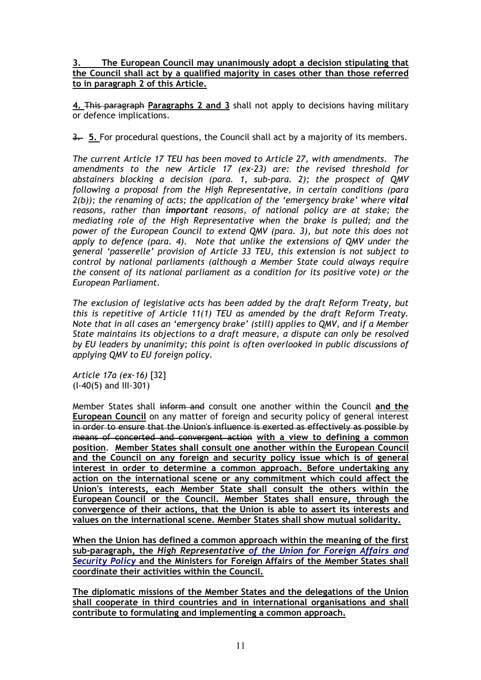## **3. The European Council may unanimously adopt a decision stipulating that the Council shall act by a qualified majority in cases other than those referred to in paragraph 2 of this Article.**

**4.** This paragraph **Paragraphs 2 and 3** shall not apply to decisions having military or defence implications.

## 3. **5.** For procedural questions, the Council shall act by a majority of its members.

*The current Article 17 TEU has been moved to Article 27, with amendments. The amendments to the new Article 17 (ex-23) are: the revised threshold for abstainers blocking a decision (para. 1, sub-para. 2); the prospect of QMV following a proposal from the High Representative, in certain conditions (para 2(b)); the renaming of acts; the application of the 'emergency brake' where vital reasons, rather than important reasons, of national policy are at stake; the mediating role of the High Representative when the brake is pulled; and the power of the European Council to extend QMV (para. 3), but note this does not apply to defence (para. 4). Note that unlike the extensions of QMV under the general 'passerelle' provision of Article 33 TEU, this extension is not subject to control by national parliaments (although a Member State could always require the consent of its national parliament as a condition for its positive vote) or the European Parliament.* 

*The exclusion of legislative acts has been added by the draft Reform Treaty, but this is repetitive of Article 11(1) TEU as amended by the draft Reform Treaty. Note that in all cases an 'emergency brake' (still) applies to QMV, and if a Member State maintains its objections to a draft measure, a dispute can only be resolved by EU leaders by unanimity; this point is often overlooked in public discussions of applying QMV to EU foreign policy.* 

*Article 17a (ex-16)* [32] (I-40(5) and III-301)

Member States shall inform and consult one another within the Council **and the European Council** on any matter of foreign and security policy of general interest in order to ensure that the Union's influence is exerted as effectively as possible by means of concerted and convergent action **with a view to defining a common position**. **Member States shall consult one another within the European Council and the Council on any foreign and security policy issue which is of general interest in order to determine a common approach. Before undertaking any action on the international scene or any commitment which could affect the Union's interests, each Member State shall consult the others within the European Council or the Council. Member States shall ensure, through the convergence of their actions, that the Union is able to assert its interests and values on the international scene. Member States shall show mutual solidarity.**

**When the Union has defined a common approach within the meaning of the first sub-paragraph, the** *High Representative of the Union for Foreign Affairs and Security Policy* **and the Ministers for Foreign Affairs of the Member States shall coordinate their activities within the Council.**

**The diplomatic missions of the Member States and the delegations of the Union shall cooperate in third countries and in international organisations and shall contribute to formulating and implementing a common approach.**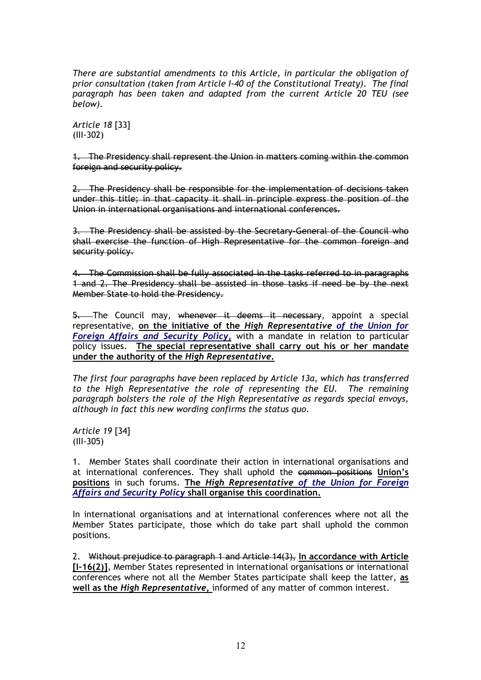*There are substantial amendments to this Article, in particular the obligation of prior consultation (taken from Article I-40 of the Constitutional Treaty). The final paragraph has been taken and adapted from the current Article 20 TEU (see below).* 

*Article 18* [33] (III-302)

1. The Presidency shall represent the Union in matters coming within the common foreign and security policy.

2. The Presidency shall be responsible for the implementation of decisions taken under this title; in that capacity it shall in principle express the position of the Union in international organisations and international conferences.

3. The Presidency shall be assisted by the Secretary-General of the Council who shall exercise the function of High Representative for the common foreign and security policy.

4. The Commission shall be fully associated in the tasks referred to in paragraphs 1 and 2. The Presidency shall be assisted in those tasks if need be by the next Member State to hold the Presidency.

5. The Council may, whenever it deems it necessary, appoint a special representative, **on the initiative of the** *High Representative of the Union for Foreign Affairs and Security Policy***,** with a mandate in relation to particular policy issues. **The special representative shall carry out his or her mandate under the authority of the** *High Representative***.**

*The first four paragraphs have been replaced by Article 13a, which has transferred to the High Representative the role of representing the EU. The remaining paragraph bolsters the role of the High Representative as regards special envoys, although in fact this new wording confirms the status quo.* 

*Article 19* [34] (III-305)

1. Member States shall coordinate their action in international organisations and at international conferences. They shall uphold the common positions **Union's positions** in such forums. **The** *High Representative of the Union for Foreign Affairs and Security Policy* **shall organise this coordination.**

In international organisations and at international conferences where not all the Member States participate, those which do take part shall uphold the common positions.

2. Without prejudice to paragraph 1 and Article 14(3), **In accordance with Article [I-16(2)]**, Member States represented in international organisations or international conferences where not all the Member States participate shall keep the latter, **as well as the** *High Representative***,** informed of any matter of common interest.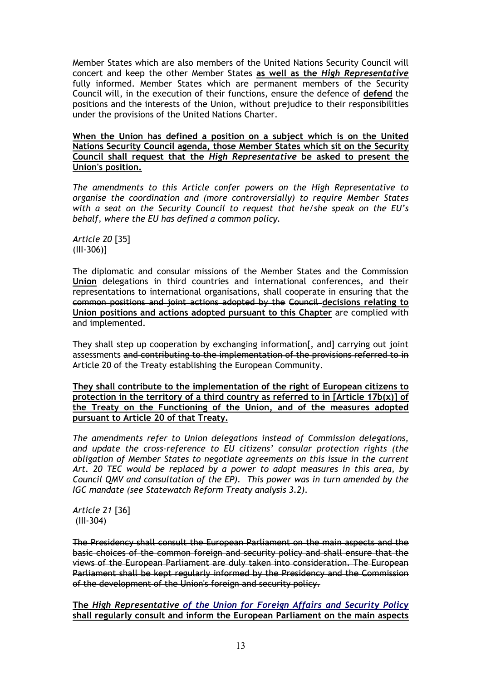Member States which are also members of the United Nations Security Council will concert and keep the other Member States **as well as the** *High Representative* fully informed. Member States which are permanent members of the Security Council will, in the execution of their functions, ensure the defence of **defend** the positions and the interests of the Union, without prejudice to their responsibilities under the provisions of the United Nations Charter.

**When the Union has defined a position on a subject which is on the United Nations Security Council agenda, those Member States which sit on the Security Council shall request that the** *High Representative* **be asked to present the Union's position.**

*The amendments to this Article confer powers on the High Representative to organise the coordination and (more controversially) to require Member States with a seat on the Security Council to request that he/she speak on the EU's behalf, where the EU has defined a common policy.* 

*Article 20* [35] (III-306)]

The diplomatic and consular missions of the Member States and the Commission **Union** delegations in third countries and international conferences, and their representations to international organisations, shall cooperate in ensuring that the common positions and joint actions adopted by the Council **decisions relating to Union positions and actions adopted pursuant to this Chapter** are complied with and implemented.

They shall step up cooperation by exchanging information[, and] carrying out joint assessments and contributing to the implementation of the provisions referred to in Article 20 of the Treaty establishing the European Community.

**They shall contribute to the implementation of the right of European citizens to protection in the territory of a third country as referred to in [Article 17b(x)] of the Treaty on the Functioning of the Union, and of the measures adopted pursuant to Article 20 of that Treaty.**

*The amendments refer to Union delegations instead of Commission delegations, and update the cross-reference to EU citizens' consular protection rights (the obligation of Member States to negotiate agreements on this issue in the current Art. 20 TEC would be replaced by a power to adopt measures in this area, by Council QMV and consultation of the EP). This power was in turn amended by the IGC mandate (see Statewatch Reform Treaty analysis 3.2).* 

*Article 21* [36] (III-304)

The Presidency shall consult the European Parliament on the main aspects and the basic choices of the common foreign and security policy and shall ensure that the views of the European Parliament are duly taken into consideration. The European Parliament shall be kept regularly informed by the Presidency and the Commission of the development of the Union's foreign and security policy.

**The** *High Representative of the Union for Foreign Affairs and Security Policy*  **shall regularly consult and inform the European Parliament on the main aspects**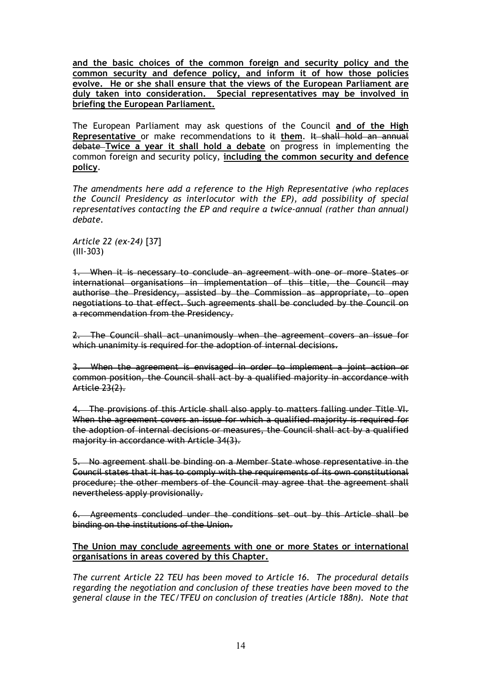**and the basic choices of the common foreign and security policy and the common security and defence policy, and inform it of how those policies evolve. He or she shall ensure that the views of the European Parliament are duly taken into consideration. Special representatives may be involved in briefing the European Parliament.**

The European Parliament may ask questions of the Council **and of the High Representative** or make recommendations to it **them**. It shall hold an annual debate **Twice a year it shall hold a debate** on progress in implementing the common foreign and security policy, **including the common security and defence policy**.

*The amendments here add a reference to the High Representative (who replaces the Council Presidency as interlocutor with the EP), add possibility of special representatives contacting the EP and require a twice-annual (rather than annual) debate.* 

*Article 22 (ex-24)* [37] (III-303)

1. When it is necessary to conclude an agreement with one or more States or international organisations in implementation of this title, the Council may authorise the Presidency, assisted by the Commission as appropriate, to open negotiations to that effect. Such agreements shall be concluded by the Council on a recommendation from the Presidency.

2. The Council shall act unanimously when the agreement covers an issue for which unanimity is required for the adoption of internal decisions.

3. When the agreement is envisaged in order to implement a joint action or common position, the Council shall act by a qualified majority in accordance with Article 23(2).

4. The provisions of this Article shall also apply to matters falling under Title VI. When the agreement covers an issue for which a qualified majority is required for the adoption of internal decisions or measures, the Council shall act by a qualified majority in accordance with Article 34(3).

5. No agreement shall be binding on a Member State whose representative in the Council states that it has to comply with the requirements of its own constitutional procedure; the other members of the Council may agree that the agreement shall nevertheless apply provisionally.

6. Agreements concluded under the conditions set out by this Article shall be binding on the institutions of the Union.

## **The Union may conclude agreements with one or more States or international organisations in areas covered by this Chapter.**

*The current Article 22 TEU has been moved to Article 16. The procedural details regarding the negotiation and conclusion of these treaties have been moved to the general clause in the TEC/TFEU on conclusion of treaties (Article 188n). Note that*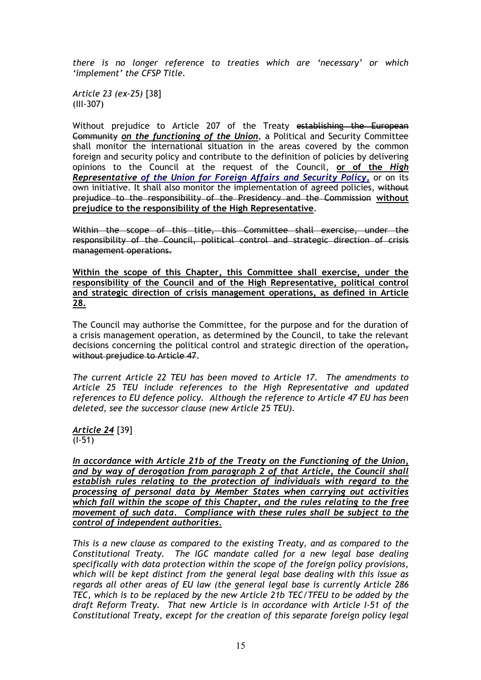*there is no longer reference to treaties which are 'necessary' or which 'implement' the CFSP Title.* 

*Article 23 (ex-25)* [38] (III-307)

Without prejudice to Article 207 of the Treaty establishing the European Community *on the functioning of the Union*, a Political and Security Committee shall monitor the international situation in the areas covered by the common foreign and security policy and contribute to the definition of policies by delivering opinions to the Council at the request of the Council, **or of the** *High Representative of the Union for Foreign Affairs and Security Policy***,** or on its own initiative. It shall also monitor the implementation of agreed policies, without prejudice to the responsibility of the Presidency and the Commission **without prejudice to the responsibility of the High Representative**.

Within the scope of this title, this Committee shall exercise, under the responsibility of the Council, political control and strategic direction of crisis management operations.

**Within the scope of this Chapter, this Committee shall exercise, under the responsibility of the Council and of the High Representative, political control and strategic direction of crisis management operations, as defined in Article 28.**

The Council may authorise the Committee, for the purpose and for the duration of a crisis management operation, as determined by the Council, to take the relevant decisions concerning the political control and strategic direction of the operation, without prejudice to Article 47.

*The current Article 22 TEU has been moved to Article 17. The amendments to Article 25 TEU include references to the High Representative and updated references to EU defence policy. Although the reference to Article 47 EU has been deleted, see the successor clause (new Article 25 TEU).* 

*Article 24* [39]  $(I-51)$ 

*In accordance with Article 21b of the Treaty on the Functioning of the Union, and by way of derogation from paragraph 2 of that Article, the Council shall establish rules relating to the protection of individuals with regard to the processing of personal data by Member States when carrying out activities which fall within the scope of this Chapter, and the rules relating to the free movement of such data. Compliance with these rules shall be subject to the control of independent authorities.* 

*This is a new clause as compared to the existing Treaty, and as compared to the Constitutional Treaty. The IGC mandate called for a new legal base dealing specifically with data protection within the scope of the foreign policy provisions, which will be kept distinct from the general legal base dealing with this issue as regards all other areas of EU law (the general legal base is currently Article 286 TEC, which is to be replaced by the new Article 21b TEC/TFEU to be added by the draft Reform Treaty. That new Article is in accordance with Article I-51 of the Constitutional Treaty, except for the creation of this separate foreign policy legal*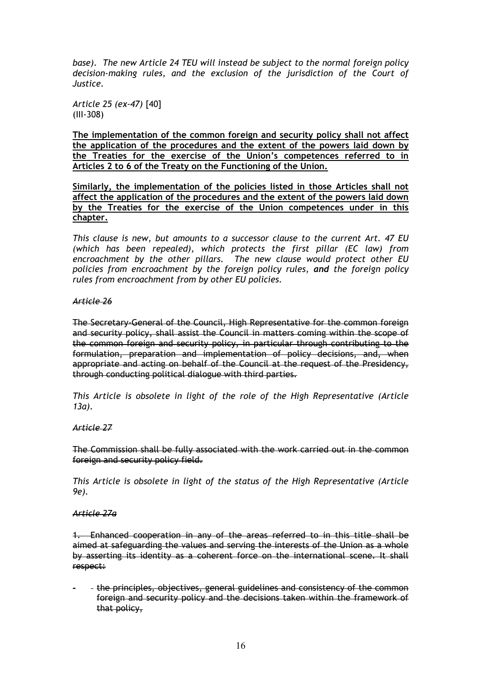*base). The new Article 24 TEU will instead be subject to the normal foreign policy decision-making rules, and the exclusion of the jurisdiction of the Court of Justice.* 

*Article 25 (ex-47)* [40] (III-308)

**The implementation of the common foreign and security policy shall not affect the application of the procedures and the extent of the powers laid down by the Treaties for the exercise of the Union's competences referred to in Articles 2 to 6 of the Treaty on the Functioning of the Union.** 

**Similarly, the implementation of the policies listed in those Articles shall not affect the application of the procedures and the extent of the powers laid down by the Treaties for the exercise of the Union competences under in this chapter.**

*This clause is new, but amounts to a successor clause to the current Art. 47 EU (which has been repealed), which protects the first pillar (EC law) from encroachment by the other pillars. The new clause would protect other EU policies from encroachment by the foreign policy rules, and the foreign policy rules from encroachment from by other EU policies.*

### *Article 26*

The Secretary-General of the Council, High Representative for the common foreign and security policy, shall assist the Council in matters coming within the scope of the common foreign and security policy, in particular through contributing to the formulation, preparation and implementation of policy decisions, and, when appropriate and acting on behalf of the Council at the request of the Presidency, through conducting political dialogue with third parties.

*This Article is obsolete in light of the role of the High Representative (Article 13a).* 

## *Article 27*

The Commission shall be fully associated with the work carried out in the common foreign and security policy field.

*This Article is obsolete in light of the status of the High Representative (Article 9e).* 

#### *Article 27a*

1. Enhanced cooperation in any of the areas referred to in this title shall be aimed at safeguarding the values and serving the interests of the Union as a whole by asserting its identity as a coherent force on the international scene. It shall respect:

- the principles, objectives, general guidelines and consistency of the common foreign and security policy and the decisions taken within the framework of that policy,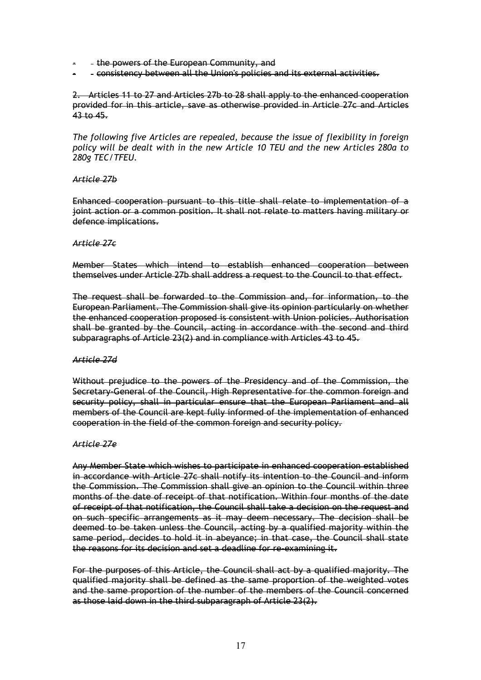- the powers of the European Community, and
- consistency between all the Union's policies and its external activities.

2. Articles 11 to 27 and Articles 27b to 28 shall apply to the enhanced cooperation provided for in this article, save as otherwise provided in Article 27c and Articles 43 to 45.

*The following five Articles are repealed, because the issue of flexibility in foreign policy will be dealt with in the new Article 10 TEU and the new Articles 280a to 280g TEC/TFEU.* 

#### *Article 27b*

Enhanced cooperation pursuant to this title shall relate to implementation of a joint action or a common position. It shall not relate to matters having military or defence implications.

#### *Article 27c*

Member States which intend to establish enhanced cooperation between themselves under Article 27b shall address a request to the Council to that effect.

The request shall be forwarded to the Commission and, for information, to the European Parliament. The Commission shall give its opinion particularly on whether the enhanced cooperation proposed is consistent with Union policies. Authorisation shall be granted by the Council, acting in accordance with the second and third subparagraphs of Article 23(2) and in compliance with Articles 43 to 45.

### *Article 27d*

Without prejudice to the powers of the Presidency and of the Commission, the Secretary-General of the Council, High Representative for the common foreign and security policy, shall in particular ensure that the European Parliament and all members of the Council are kept fully informed of the implementation of enhanced cooperation in the field of the common foreign and security policy.

#### *Article 27e*

Any Member State which wishes to participate in enhanced cooperation established in accordance with Article 27c shall notify its intention to the Council and inform the Commission. The Commission shall give an opinion to the Council within three months of the date of receipt of that notification. Within four months of the date of receipt of that notification, the Council shall take a decision on the request and on such specific arrangements as it may deem necessary. The decision shall be deemed to be taken unless the Council, acting by a qualified majority within the same period, decides to hold it in abeyance; in that case, the Council shall state the reasons for its decision and set a deadline for re-examining it.

For the purposes of this Article, the Council shall act by a qualified majority. The qualified majority shall be defined as the same proportion of the weighted votes and the same proportion of the number of the members of the Council concerned as those laid down in the third subparagraph of Article 23(2).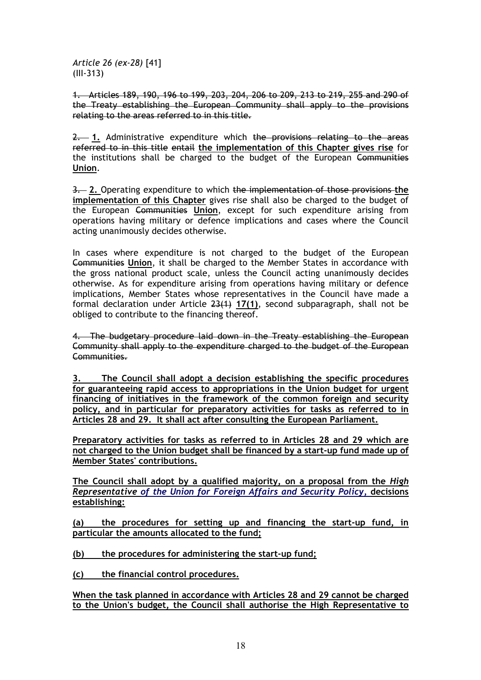*Article 26 (ex-28)* [41] (III-313)

1. Articles 189, 190, 196 to 199, 203, 204, 206 to 209, 213 to 219, 255 and 290 of the Treaty establishing the European Community shall apply to the provisions relating to the areas referred to in this title.

2. **1.** Administrative expenditure which the provisions relating to the areas referred to in this title entail **the implementation of this Chapter gives rise** for the institutions shall be charged to the budget of the European Communities **Union**.

3. **2.** Operating expenditure to which the implementation of those provisions **the implementation of this Chapter** gives rise shall also be charged to the budget of the European Communities **Union**, except for such expenditure arising from operations having military or defence implications and cases where the Council acting unanimously decides otherwise.

In cases where expenditure is not charged to the budget of the European Communities **Union**, it shall be charged to the Member States in accordance with the gross national product scale, unless the Council acting unanimously decides otherwise. As for expenditure arising from operations having military or defence implications, Member States whose representatives in the Council have made a formal declaration under Article 23(1) **17(1)**, second subparagraph, shall not be obliged to contribute to the financing thereof.

4. The budgetary procedure laid down in the Treaty establishing the European Community shall apply to the expenditure charged to the budget of the European Communities.

**3. The Council shall adopt a decision establishing the specific procedures for guaranteeing rapid access to appropriations in the Union budget for urgent financing of initiatives in the framework of the common foreign and security policy, and in particular for preparatory activities for tasks as referred to in Articles 28 and 29. It shall act after consulting the European Parliament.**

**Preparatory activities for tasks as referred to in Articles 28 and 29 which are not charged to the Union budget shall be financed by a start-up fund made up of Member States' contributions.**

**The Council shall adopt by a qualified majority, on a proposal from the** *High Representative of the Union for Foreign Affairs and Security Policy***, decisions establishing:**

**(a) the procedures for setting up and financing the start-up fund, in particular the amounts allocated to the fund;**

**(b) the procedures for administering the start-up fund;**

**(c) the financial control procedures.**

**When the task planned in accordance with Articles 28 and 29 cannot be charged to the Union's budget, the Council shall authorise the High Representative to**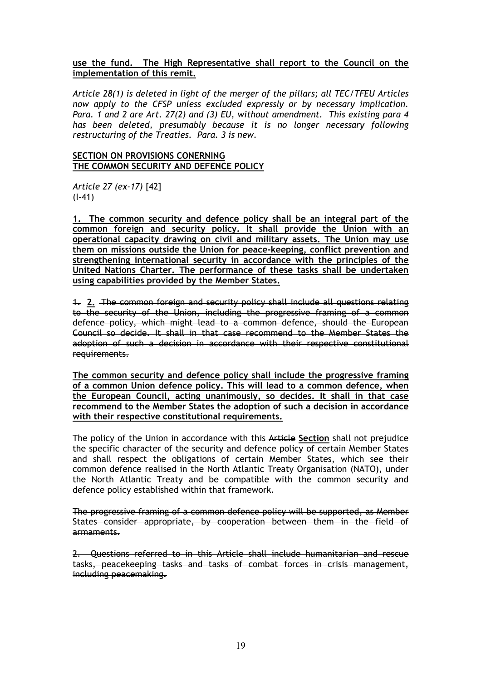## **use the fund. The High Representative shall report to the Council on the implementation of this remit.**

*Article 28(1) is deleted in light of the merger of the pillars; all TEC/TFEU Articles now apply to the CFSP unless excluded expressly or by necessary implication. Para. 1 and 2 are Art. 27(2) and (3) EU, without amendment. This existing para 4 has been deleted, presumably because it is no longer necessary following restructuring of the Treaties. Para. 3 is new.* 

## **SECTION ON PROVISIONS CONERNING THE COMMON SECURITY AND DEFENCE POLICY**

*Article 27 (ex-17)* [42]  $(I-41)$ 

**1. The common security and defence policy shall be an integral part of the common foreign and security policy. It shall provide the Union with an operational capacity drawing on civil and military assets. The Union may use them on missions outside the Union for peace-keeping, conflict prevention and strengthening international security in accordance with the principles of the United Nations Charter. The performance of these tasks shall be undertaken using capabilities provided by the Member States.**

1. **2.** The common foreign and security policy shall include all questions relating to the security of the Union, including the progressive framing of a common defence policy, which might lead to a common defence, should the European Council so decide. It shall in that case recommend to the Member States the adoption of such a decision in accordance with their respective constitutional requirements.

**The common security and defence policy shall include the progressive framing of a common Union defence policy. This will lead to a common defence, when the European Council, acting unanimously, so decides. It shall in that case recommend to the Member States the adoption of such a decision in accordance with their respective constitutional requirements.** 

The policy of the Union in accordance with this Article **Section** shall not prejudice the specific character of the security and defence policy of certain Member States and shall respect the obligations of certain Member States, which see their common defence realised in the North Atlantic Treaty Organisation (NATO), under the North Atlantic Treaty and be compatible with the common security and defence policy established within that framework.

The progressive framing of a common defence policy will be supported, as Member States consider appropriate, by cooperation between them in the field of armaments.

2. Questions referred to in this Article shall include humanitarian and rescue tasks, peacekeeping tasks and tasks of combat forces in crisis management, including peacemaking.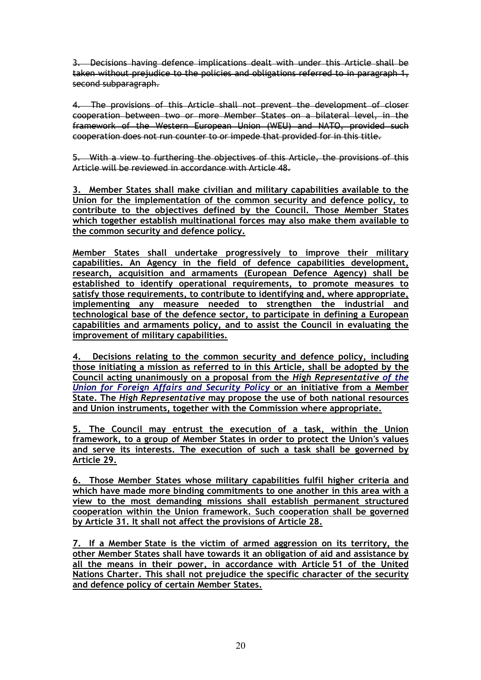3. Decisions having defence implications dealt with under this Article shall be taken without prejudice to the policies and obligations referred to in paragraph 1, second subparagraph.

4. The provisions of this Article shall not prevent the development of closer cooperation between two or more Member States on a bilateral level, in the framework of the Western European Union (WEU) and NATO, provided such cooperation does not run counter to or impede that provided for in this title.

5. With a view to furthering the objectives of this Article, the provisions of this Article will be reviewed in accordance with Article 48.

**3. Member States shall make civilian and military capabilities available to the Union for the implementation of the common security and defence policy, to contribute to the objectives defined by the Council. Those Member States which together establish multinational forces may also make them available to the common security and defence policy.**

**Member States shall undertake progressively to improve their military capabilities. An Agency in the field of defence capabilities development, research, acquisition and armaments (European Defence Agency) shall be established to identify operational requirements, to promote measures to satisfy those requirements, to contribute to identifying and, where appropriate, implementing any measure needed to strengthen the industrial and technological base of the defence sector, to participate in defining a European capabilities and armaments policy, and to assist the Council in evaluating the improvement of military capabilities.**

**4. Decisions relating to the common security and defence policy, including those initiating a mission as referred to in this Article, shall be adopted by the Council acting unanimously on a proposal from the** *High Representative of the Union for Foreign Affairs and Security Policy* **or an initiative from a Member State. The** *High Representative* **may propose the use of both national resources and Union instruments, together with the Commission where appropriate.**

**5. The Council may entrust the execution of a task, within the Union framework, to a group of Member States in order to protect the Union's values and serve its interests. The execution of such a task shall be governed by Article 29.** 

**6. Those Member States whose military capabilities fulfil higher criteria and which have made more binding commitments to one another in this area with a view to the most demanding missions shall establish permanent structured cooperation within the Union framework. Such cooperation shall be governed by Article 31. It shall not affect the provisions of Article 28.** 

**7. If a Member State is the victim of armed aggression on its territory, the other Member States shall have towards it an obligation of aid and assistance by all the means in their power, in accordance with Article 51 of the United Nations Charter. This shall not prejudice the specific character of the security and defence policy of certain Member States.**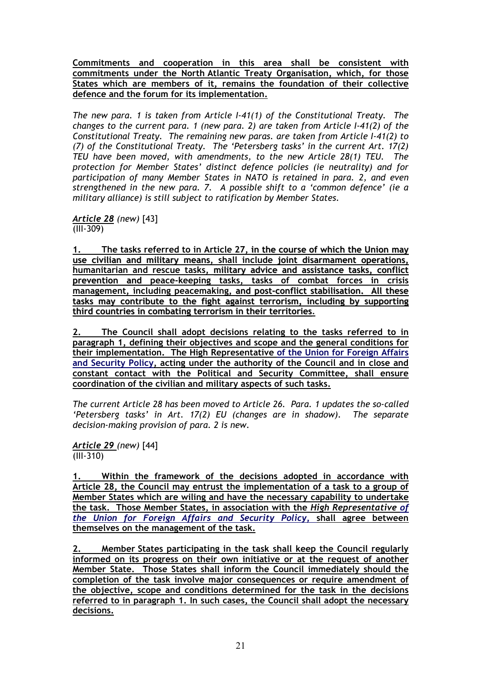**Commitments and cooperation in this area shall be consistent with commitments under the North Atlantic Treaty Organisation, which, for those States which are members of it, remains the foundation of their collective defence and the forum for its implementation.**

*The new para. 1 is taken from Article I-41(1) of the Constitutional Treaty. The changes to the current para. 1 (new para. 2) are taken from Article I-41(2) of the Constitutional Treaty. The remaining new paras. are taken from Article I-41(2) to (7) of the Constitutional Treaty. The 'Petersberg tasks' in the current Art. 17(2) TEU have been moved, with amendments, to the new Article 28(1) TEU. The protection for Member States' distinct defence policies (ie neutrality) and for participation of many Member States in NATO is retained in para. 2, and even strengthened in the new para. 7. A possible shift to a 'common defence' (ie a military alliance) is still subject to ratification by Member States.* 

*Article 28 (new)* [43] (III-309)

**1. The tasks referred to in Article 27, in the course of which the Union may**  $\overline{u}$  use civilian and military means, shall include joint disarmament operations, **humanitarian and rescue tasks, military advice and assistance tasks, conflict prevention and peace-keeping tasks, tasks of combat forces in crisis management, including peacemaking, and post-conflict stabilisation. All these tasks may contribute to the fight against terrorism, including by supporting third countries in combating terrorism in their territories***.*

**2. The Council shall adopt decisions relating to the tasks referred to in paragraph 1, defining their objectives and scope and the general conditions for their implementation. The High Representative of the Union for Foreign Affairs and Security Policy, acting under the authority of the Council and in close and constant contact with the Political and Security Committee, shall ensure coordination of the civilian and military aspects of such tasks.**

*The current Article 28 has been moved to Article 26. Para. 1 updates the so-called 'Petersberg tasks' in Art. 17(2) EU (changes are in shadow). The separate decision-making provision of para. 2 is new.* 

*Article 29 (new)* [44] (III-310)

**1. Within the framework of the decisions adopted in accordance with Article 28, the Council may entrust the implementation of a task to a group of Member States which are wiling and have the necessary capability to undertake the task. Those Member States, in association with the** *High Representative of the Union for Foreign Affairs and Security Policy***, shall agree between themselves on the management of the task.**

**2. Member States participating in the task shall keep the Council regularly informed on its progress on their own initiative or at the request of another Member State. Those States shall inform the Council immediately should the completion of the task involve major consequences or require amendment of the objective, scope and conditions determined for the task in the decisions referred to in paragraph 1. In such cases, the Council shall adopt the necessary decisions.**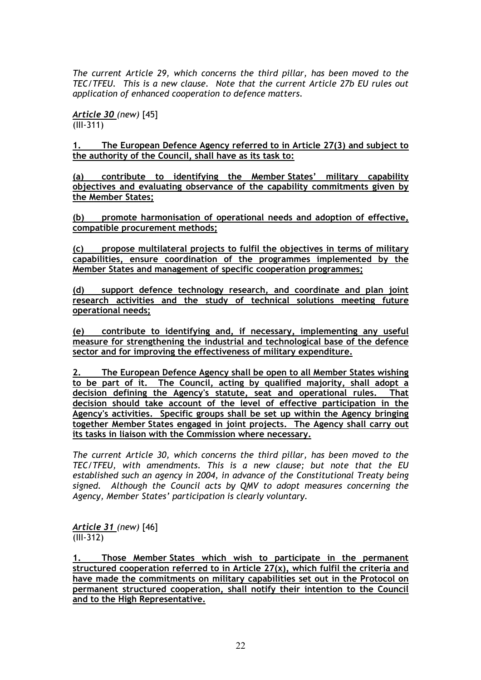*The current Article 29, which concerns the third pillar, has been moved to the TEC/TFEU. This is a new clause. Note that the current Article 27b EU rules out application of enhanced cooperation to defence matters.* 

*Article 30 (new)* [45]  $\overline{(\text{III-311})}$ 

**1. The European Defence Agency referred to in Article 27(3) and subject to the authority of the Council, shall have as its task to:**

**(a) contribute to identifying the Member States' military capability objectives and evaluating observance of the capability commitments given by the Member States;**

**(b) promote harmonisation of operational needs and adoption of effective, compatible procurement methods;**

**(c) propose multilateral projects to fulfil the objectives in terms of military capabilities, ensure coordination of the programmes implemented by the Member States and management of specific cooperation programmes;**

**(d) support defence technology research, and coordinate and plan joint research activities and the study of technical solutions meeting future operational needs;**

**(e) contribute to identifying and, if necessary, implementing any useful measure for strengthening the industrial and technological base of the defence sector and for improving the effectiveness of military expenditure.**

**2. The European Defence Agency shall be open to all Member States wishing to be part of it. The Council, acting by qualified majority, shall adopt a decision defining the Agency's statute, seat and operational rules. That decision should take account of the level of effective participation in the Agency's activities. Specific groups shall be set up within the Agency bringing together Member States engaged in joint projects. The Agency shall carry out its tasks in liaison with the Commission where necessary.**

*The current Article 30, which concerns the third pillar, has been moved to the TEC/TFEU, with amendments. This is a new clause; but note that the EU established such an agency in 2004, in advance of the Constitutional Treaty being signed. Although the Council acts by QMV to adopt measures concerning the Agency, Member States' participation is clearly voluntary.*

*Article 31 (new)* [46] (III-312)

**1. Those Member States which wish to participate in the permanent structured cooperation referred to in Article 27(x)***,* **which fulfil the criteria and have made the commitments on military capabilities set out in the Protocol on permanent structured cooperation, shall notify their intention to the Council and to the High Representative.**